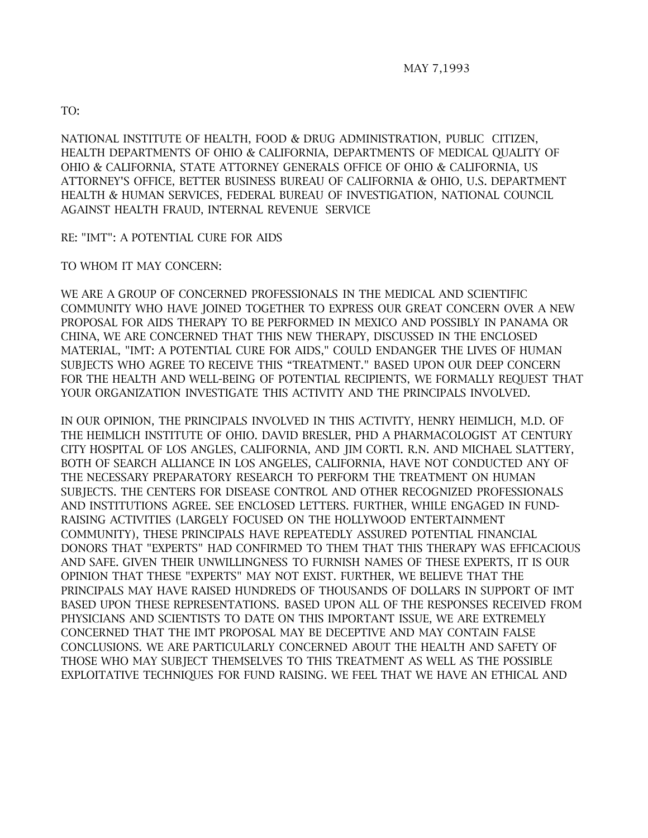TO:

NATIONAL INSTITUTE OF HEALTH, FOOD & DRUG ADMINISTRATION, PUBLIC CITIZEN, HEALTH DEPARTMENTS OF OHIO & CALIFORNIA, DEPARTMENTS OF MEDICAL QUALITY OF OHIO & CALIFORNIA, STATE ATTORNEY GENERALS OFFICE OF OHIO & CALIFORNIA, US ATTORNEY'S OFFICE, BETTER BUSINESS BUREAU OF CALIFORNIA & OHIO, U.S. DEPARTMENT HEALTH & HUMAN SERVICES, FEDERAL BUREAU OF INVESTIGATION, NATIONAL COUNCIL AGAINST HEALTH FRAUD, INTERNAL REVENUE SERVICE

RE: "IMT": A POTENTIAL CURE FOR AIDS

TO WHOM IT MAY CONCERN:

WE ARE A GROUP OF CONCERNED PROFESSIONALS IN THE MEDICAL AND SCIENTIFIC COMMUNITY WHO HAVE JOINED TOGETHER TO EXPRESS OUR GREAT CONCERN OVER A NEW PROPOSAL FOR AIDS THERAPY TO BE PERFORMED IN MEXICO AND POSSIBLY IN PANAMA OR CHINA, WE ARE CONCERNED THAT THIS NEW THERAPY, DISCUSSED IN THE ENCLOSED MATERIAL, "IMT: A POTENTIAL CURE FOR AIDS," COULD ENDANGER THE LIVES OF HUMAN SUBJECTS WHO AGREE TO RECEIVE THIS "TREATMENT." BASED UPON OUR DEEP CONCERN FOR THE HEALTH AND WELL-BEING OF POTENTIAL RECIPIENTS, WE FORMALLY REQUEST THAT YOUR ORGANIZATION INVESTIGATE THIS ACTIVITY AND THE PRINCIPALS INVOLVED.

IN OUR OPINION, THE PRINCIPALS INVOLVED IN THIS ACTIVITY, HENRY HEIMLICH, M.D. OF THE HEIMLICH INSTITUTE OF OHIO. DAVID BRESLER, PHD A PHARMACOLOGIST AT CENTURY CITY HOSPITAL OF LOS ANGLES, CALIFORNIA, AND JIM CORTI. R.N. AND MICHAEL SLATTERY, BOTH OF SEARCH ALLIANCE IN LOS ANGELES, CALIFORNIA, HAVE NOT CONDUCTED ANY OF THE NECESSARY PREPARATORY RESEARCH TO PERFORM THE TREATMENT ON HUMAN SUBJECTS. THE CENTERS FOR DISEASE CONTROL AND OTHER RECOGNIZED PROFESSIONALS AND INSTITUTIONS AGREE. SEE ENCLOSED LETTERS. FURTHER, WHILE ENGAGED IN FUND-RAISING ACTIVITIES (LARGELY FOCUSED ON THE HOLLYWOOD ENTERTAINMENT COMMUNITY), THESE PRINCIPALS HAVE REPEATEDLY ASSURED POTENTIAL FINANCIAL DONORS THAT "EXPERTS" HAD CONFIRMED TO THEM THAT THIS THERAPY WAS EFFICACIOUS AND SAFE. GIVEN THEIR UNWILLINGNESS TO FURNISH NAMES OF THESE EXPERTS, IT IS OUR OPINION THAT THESE "EXPERTS" MAY NOT EXIST. FURTHER, WE BELIEVE THAT THE PRINCIPALS MAY HAVE RAISED HUNDREDS OF THOUSANDS OF DOLLARS IN SUPPORT OF IMT BASED UPON THESE REPRESENTATIONS. BASED UPON ALL OF THE RESPONSES RECEIVED FROM PHYSICIANS AND SCIENTISTS TO DATE ON THIS IMPORTANT ISSUE, WE ARE EXTREMELY CONCERNED THAT THE IMT PROPOSAL MAY BE DECEPTIVE AND MAY CONTAIN FALSE CONCLUSIONS. WE ARE PARTICULARLY CONCERNED ABOUT THE HEALTH AND SAFETY OF THOSE WHO MAY SUBJECT THEMSELVES TO THIS TREATMENT AS WELL AS THE POSSIBLE EXPLOITATIVE TECHNIQUES FOR FUND RAISING. WE FEEL THAT WE HAVE AN ETHICAL AND